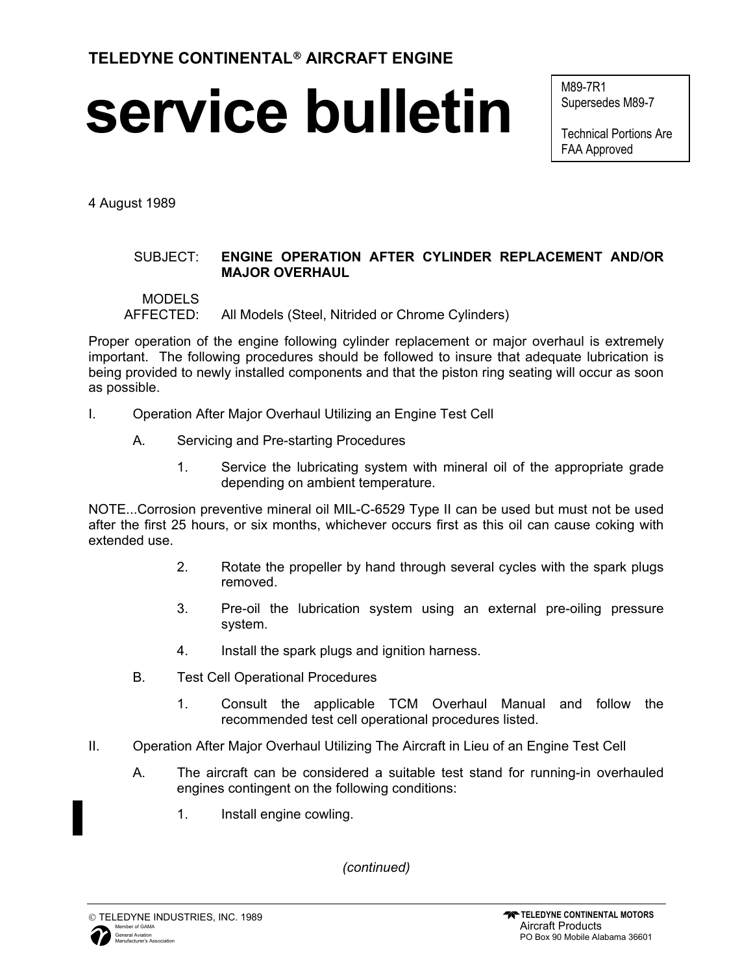## **service bulletin**

M89-7R1 Supersedes M89-7

Technical Portions Are FAA Approved

4 August 1989

## SUBJECT: **ENGINE OPERATION AFTER CYLINDER REPLACEMENT AND/OR MAJOR OVERHAUL**

## MODELS

AFFECTED: All Models (Steel, Nitrided or Chrome Cylinders)

Proper operation of the engine following cylinder replacement or major overhaul is extremely important. The following procedures should be followed to insure that adequate lubrication is being provided to newly installed components and that the piston ring seating will occur as soon as possible.

- I. Operation After Major Overhaul Utilizing an Engine Test Cell
	- A. Servicing and Pre-starting Procedures
		- 1. Service the lubricating system with mineral oil of the appropriate grade depending on ambient temperature.

NOTE...Corrosion preventive mineral oil MIL-C-6529 Type II can be used but must not be used after the first 25 hours, or six months, whichever occurs first as this oil can cause coking with extended use.

- 2. Rotate the propeller by hand through several cycles with the spark plugs removed.
- 3. Pre-oil the lubrication system using an external pre-oiling pressure system.
- 4. Install the spark plugs and ignition harness.
- B. Test Cell Operational Procedures
	- 1. Consult the applicable TCM Overhaul Manual and follow the recommended test cell operational procedures listed.
- II. Operation After Major Overhaul Utilizing The Aircraft in Lieu of an Engine Test Cell
	- A. The aircraft can be considered a suitable test stand for running-in overhauled engines contingent on the following conditions:
		- 1. Install engine cowling.

*(continued)*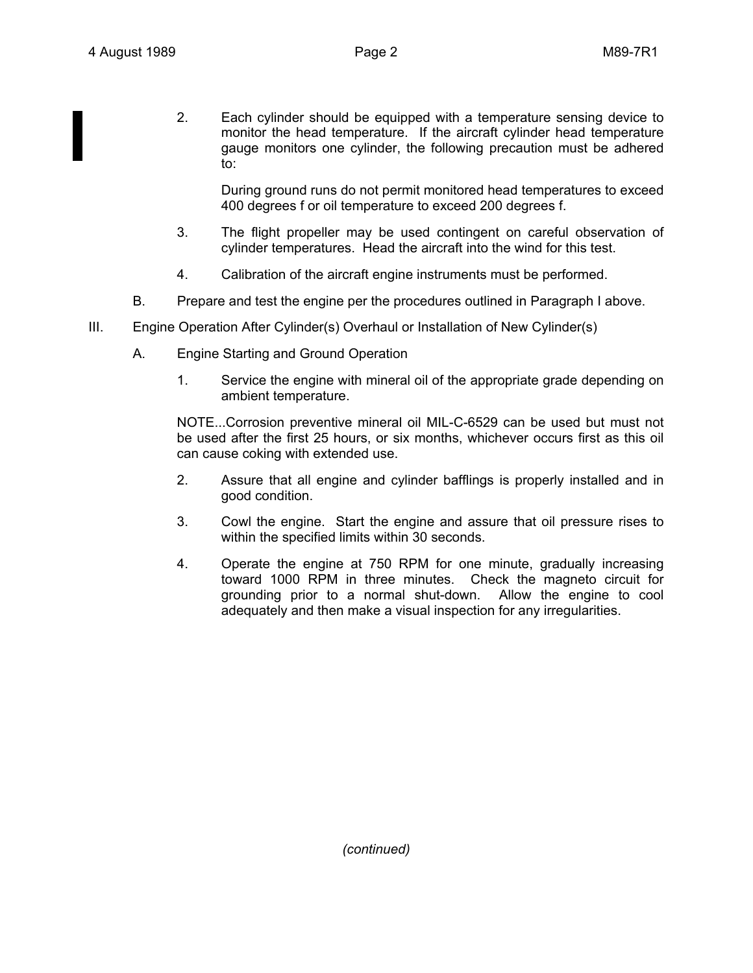2. Each cylinder should be equipped with a temperature sensing device to monitor the head temperature. If the aircraft cylinder head temperature gauge monitors one cylinder, the following precaution must be adhered to:

During ground runs do not permit monitored head temperatures to exceed 400 degrees f or oil temperature to exceed 200 degrees f.

- 3. The flight propeller may be used contingent on careful observation of cylinder temperatures. Head the aircraft into the wind for this test.
- 4. Calibration of the aircraft engine instruments must be performed.
- B. Prepare and test the engine per the procedures outlined in Paragraph I above.
- III. Engine Operation After Cylinder(s) Overhaul or Installation of New Cylinder(s)
	- A. Engine Starting and Ground Operation
		- 1. Service the engine with mineral oil of the appropriate grade depending on ambient temperature.

NOTE...Corrosion preventive mineral oil MIL-C-6529 can be used but must not be used after the first 25 hours, or six months, whichever occurs first as this oil can cause coking with extended use.

- 2. Assure that all engine and cylinder bafflings is properly installed and in good condition.
- 3. Cowl the engine. Start the engine and assure that oil pressure rises to within the specified limits within 30 seconds.
- 4. Operate the engine at 750 RPM for one minute, gradually increasing toward 1000 RPM in three minutes. Check the magneto circuit for grounding prior to a normal shut-down. Allow the engine to cool adequately and then make a visual inspection for any irregularities.

*(continued)*